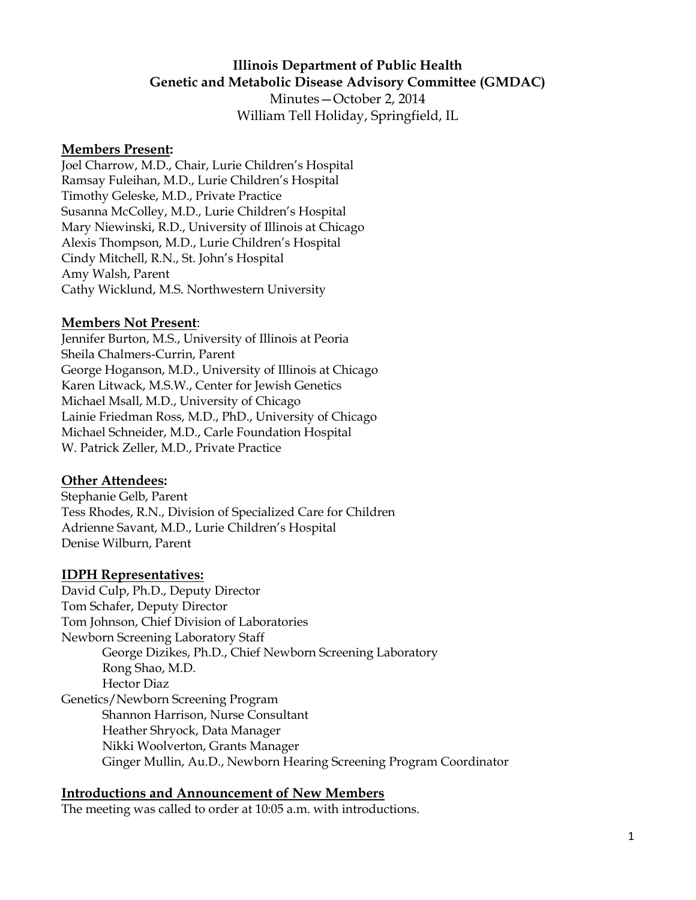# **Illinois Department of Public Health Genetic and Metabolic Disease Advisory Committee (GMDAC)**

Minutes—October 2, 2014 William Tell Holiday, Springfield, IL

#### **Members Present:**

Joel Charrow, M.D., Chair, Lurie Children's Hospital Ramsay Fuleihan, M.D., Lurie Children's Hospital Timothy Geleske, M.D., Private Practice Susanna McColley, M.D., Lurie Children's Hospital Mary Niewinski, R.D., University of Illinois at Chicago Alexis Thompson, M.D., Lurie Children's Hospital Cindy Mitchell, R.N., St. John's Hospital Amy Walsh, Parent Cathy Wicklund, M.S. Northwestern University

#### **Members Not Present**:

Jennifer Burton, M.S., University of Illinois at Peoria Sheila Chalmers-Currin, Parent George Hoganson, M.D., University of Illinois at Chicago Karen Litwack, M.S.W., Center for Jewish Genetics Michael Msall, M.D., University of Chicago Lainie Friedman Ross, M.D., PhD., University of Chicago Michael Schneider, M.D., Carle Foundation Hospital W. Patrick Zeller, M.D., Private Practice

#### **Other Attendees:**

Stephanie Gelb, Parent Tess Rhodes, R.N., Division of Specialized Care for Children Adrienne Savant, M.D., Lurie Children's Hospital Denise Wilburn, Parent

#### **IDPH Representatives:**

David Culp, Ph.D., Deputy Director Tom Schafer, Deputy Director Tom Johnson, Chief Division of Laboratories Newborn Screening Laboratory Staff George Dizikes, Ph.D., Chief Newborn Screening Laboratory Rong Shao, M.D. Hector Diaz Genetics/Newborn Screening Program Shannon Harrison, Nurse Consultant Heather Shryock, Data Manager Nikki Woolverton, Grants Manager Ginger Mullin, Au.D., Newborn Hearing Screening Program Coordinator

#### **Introductions and Announcement of New Members**

The meeting was called to order at 10:05 a.m. with introductions.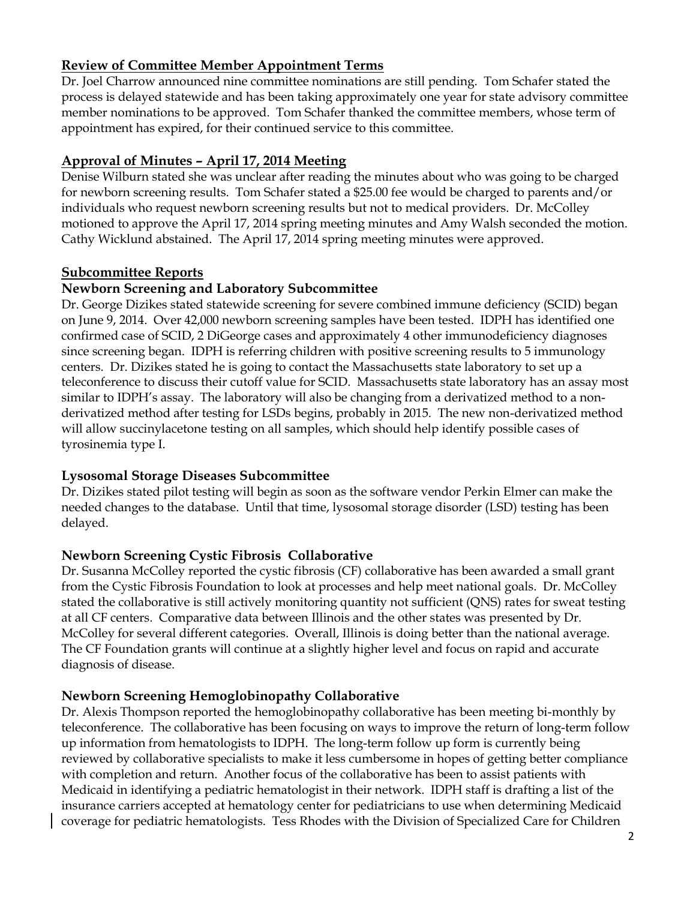# **Review of Committee Member Appointment Terms**

Dr. Joel Charrow announced nine committee nominations are still pending. Tom Schafer stated the process is delayed statewide and has been taking approximately one year for state advisory committee member nominations to be approved. Tom Schafer thanked the committee members, whose term of appointment has expired, for their continued service to this committee.

### **Approval of Minutes – April 17, 2014 Meeting**

Denise Wilburn stated she was unclear after reading the minutes about who was going to be charged for newborn screening results. Tom Schafer stated a \$25.00 fee would be charged to parents and/or individuals who request newborn screening results but not to medical providers. Dr. McColley motioned to approve the April 17, 2014 spring meeting minutes and Amy Walsh seconded the motion. Cathy Wicklund abstained. The April 17, 2014 spring meeting minutes were approved.

### **Subcommittee Reports**

### **Newborn Screening and Laboratory Subcommittee**

Dr. George Dizikes stated statewide screening for severe combined immune deficiency (SCID) began on June 9, 2014. Over 42,000 newborn screening samples have been tested. IDPH has identified one confirmed case of SCID, 2 DiGeorge cases and approximately 4 other immunodeficiency diagnoses since screening began. IDPH is referring children with positive screening results to 5 immunology centers. Dr. Dizikes stated he is going to contact the Massachusetts state laboratory to set up a teleconference to discuss their cutoff value for SCID. Massachusetts state laboratory has an assay most similar to IDPH's assay. The laboratory will also be changing from a derivatized method to a nonderivatized method after testing for LSDs begins, probably in 2015. The new non-derivatized method will allow succinylacetone testing on all samples, which should help identify possible cases of tyrosinemia type I.

### **Lysosomal Storage Diseases Subcommittee**

Dr. Dizikes stated pilot testing will begin as soon as the software vendor Perkin Elmer can make the needed changes to the database. Until that time, lysosomal storage disorder (LSD) testing has been delayed.

### **Newborn Screening Cystic Fibrosis Collaborative**

Dr. Susanna McColley reported the cystic fibrosis (CF) collaborative has been awarded a small grant from the Cystic Fibrosis Foundation to look at processes and help meet national goals. Dr. McColley stated the collaborative is still actively monitoring quantity not sufficient (QNS) rates for sweat testing at all CF centers. Comparative data between Illinois and the other states was presented by Dr. McColley for several different categories. Overall, Illinois is doing better than the national average. The CF Foundation grants will continue at a slightly higher level and focus on rapid and accurate diagnosis of disease.

### **Newborn Screening Hemoglobinopathy Collaborative**

Dr. Alexis Thompson reported the hemoglobinopathy collaborative has been meeting bi-monthly by teleconference. The collaborative has been focusing on ways to improve the return of long-term follow up information from hematologists to IDPH. The long-term follow up form is currently being reviewed by collaborative specialists to make it less cumbersome in hopes of getting better compliance with completion and return. Another focus of the collaborative has been to assist patients with Medicaid in identifying a pediatric hematologist in their network. IDPH staff is drafting a list of the insurance carriers accepted at hematology center for pediatricians to use when determining Medicaid coverage for pediatric hematologists. Tess Rhodes with the Division of Specialized Care for Children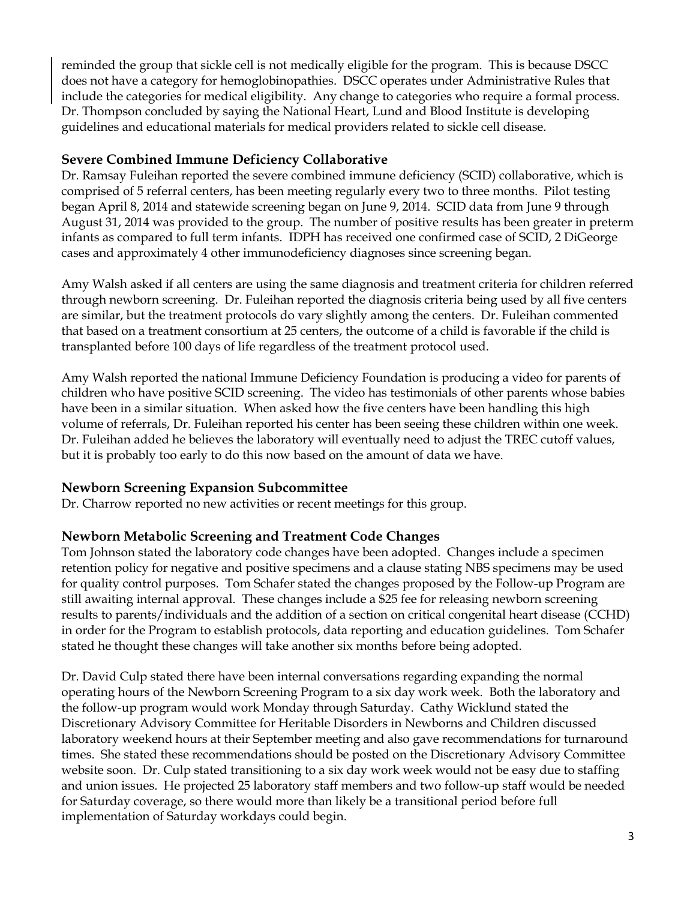reminded the group that sickle cell is not medically eligible for the program. This is because DSCC does not have a category for hemoglobinopathies. DSCC operates under Administrative Rules that include the categories for medical eligibility. Any change to categories who require a formal process. Dr. Thompson concluded by saying the National Heart, Lund and Blood Institute is developing guidelines and educational materials for medical providers related to sickle cell disease.

### **Severe Combined Immune Deficiency Collaborative**

Dr. Ramsay Fuleihan reported the severe combined immune deficiency (SCID) collaborative, which is comprised of 5 referral centers, has been meeting regularly every two to three months. Pilot testing began April 8, 2014 and statewide screening began on June 9, 2014. SCID data from June 9 through August 31, 2014 was provided to the group. The number of positive results has been greater in preterm infants as compared to full term infants. IDPH has received one confirmed case of SCID, 2 DiGeorge cases and approximately 4 other immunodeficiency diagnoses since screening began.

Amy Walsh asked if all centers are using the same diagnosis and treatment criteria for children referred through newborn screening. Dr. Fuleihan reported the diagnosis criteria being used by all five centers are similar, but the treatment protocols do vary slightly among the centers. Dr. Fuleihan commented that based on a treatment consortium at 25 centers, the outcome of a child is favorable if the child is transplanted before 100 days of life regardless of the treatment protocol used.

Amy Walsh reported the national Immune Deficiency Foundation is producing a video for parents of children who have positive SCID screening. The video has testimonials of other parents whose babies have been in a similar situation. When asked how the five centers have been handling this high volume of referrals, Dr. Fuleihan reported his center has been seeing these children within one week. Dr. Fuleihan added he believes the laboratory will eventually need to adjust the TREC cutoff values, but it is probably too early to do this now based on the amount of data we have.

# **Newborn Screening Expansion Subcommittee**

Dr. Charrow reported no new activities or recent meetings for this group.

### **Newborn Metabolic Screening and Treatment Code Changes**

Tom Johnson stated the laboratory code changes have been adopted. Changes include a specimen retention policy for negative and positive specimens and a clause stating NBS specimens may be used for quality control purposes. Tom Schafer stated the changes proposed by the Follow-up Program are still awaiting internal approval. These changes include a \$25 fee for releasing newborn screening results to parents/individuals and the addition of a section on critical congenital heart disease (CCHD) in order for the Program to establish protocols, data reporting and education guidelines. Tom Schafer stated he thought these changes will take another six months before being adopted.

Dr. David Culp stated there have been internal conversations regarding expanding the normal operating hours of the Newborn Screening Program to a six day work week. Both the laboratory and the follow-up program would work Monday through Saturday. Cathy Wicklund stated the Discretionary Advisory Committee for Heritable Disorders in Newborns and Children discussed laboratory weekend hours at their September meeting and also gave recommendations for turnaround times. She stated these recommendations should be posted on the Discretionary Advisory Committee website soon. Dr. Culp stated transitioning to a six day work week would not be easy due to staffing and union issues. He projected 25 laboratory staff members and two follow-up staff would be needed for Saturday coverage, so there would more than likely be a transitional period before full implementation of Saturday workdays could begin.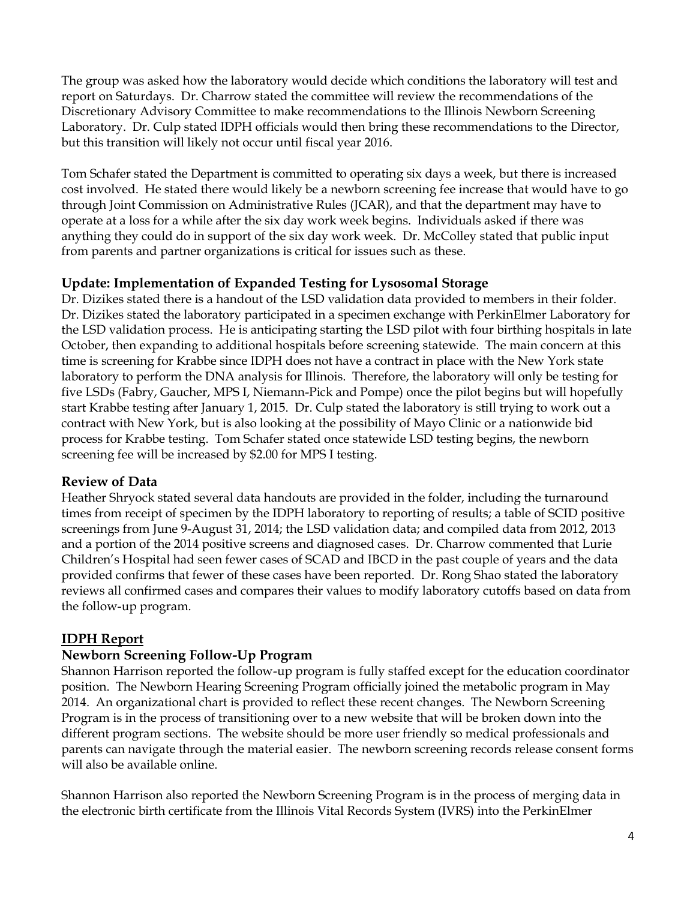The group was asked how the laboratory would decide which conditions the laboratory will test and report on Saturdays. Dr. Charrow stated the committee will review the recommendations of the Discretionary Advisory Committee to make recommendations to the Illinois Newborn Screening Laboratory. Dr. Culp stated IDPH officials would then bring these recommendations to the Director, but this transition will likely not occur until fiscal year 2016.

Tom Schafer stated the Department is committed to operating six days a week, but there is increased cost involved. He stated there would likely be a newborn screening fee increase that would have to go through Joint Commission on Administrative Rules (JCAR), and that the department may have to operate at a loss for a while after the six day work week begins. Individuals asked if there was anything they could do in support of the six day work week. Dr. McColley stated that public input from parents and partner organizations is critical for issues such as these.

### **Update: Implementation of Expanded Testing for Lysosomal Storage**

Dr. Dizikes stated there is a handout of the LSD validation data provided to members in their folder. Dr. Dizikes stated the laboratory participated in a specimen exchange with PerkinElmer Laboratory for the LSD validation process. He is anticipating starting the LSD pilot with four birthing hospitals in late October, then expanding to additional hospitals before screening statewide. The main concern at this time is screening for Krabbe since IDPH does not have a contract in place with the New York state laboratory to perform the DNA analysis for Illinois. Therefore, the laboratory will only be testing for five LSDs (Fabry, Gaucher, MPS I, Niemann-Pick and Pompe) once the pilot begins but will hopefully start Krabbe testing after January 1, 2015. Dr. Culp stated the laboratory is still trying to work out a contract with New York, but is also looking at the possibility of Mayo Clinic or a nationwide bid process for Krabbe testing. Tom Schafer stated once statewide LSD testing begins, the newborn screening fee will be increased by \$2.00 for MPS I testing.

### **Review of Data**

Heather Shryock stated several data handouts are provided in the folder, including the turnaround times from receipt of specimen by the IDPH laboratory to reporting of results; a table of SCID positive screenings from June 9-August 31, 2014; the LSD validation data; and compiled data from 2012, 2013 and a portion of the 2014 positive screens and diagnosed cases. Dr. Charrow commented that Lurie Children's Hospital had seen fewer cases of SCAD and IBCD in the past couple of years and the data provided confirms that fewer of these cases have been reported. Dr. Rong Shao stated the laboratory reviews all confirmed cases and compares their values to modify laboratory cutoffs based on data from the follow-up program.

# **IDPH Report**

### **Newborn Screening Follow-Up Program**

Shannon Harrison reported the follow-up program is fully staffed except for the education coordinator position. The Newborn Hearing Screening Program officially joined the metabolic program in May 2014. An organizational chart is provided to reflect these recent changes. The Newborn Screening Program is in the process of transitioning over to a new website that will be broken down into the different program sections. The website should be more user friendly so medical professionals and parents can navigate through the material easier. The newborn screening records release consent forms will also be available online.

Shannon Harrison also reported the Newborn Screening Program is in the process of merging data in the electronic birth certificate from the Illinois Vital Records System (IVRS) into the PerkinElmer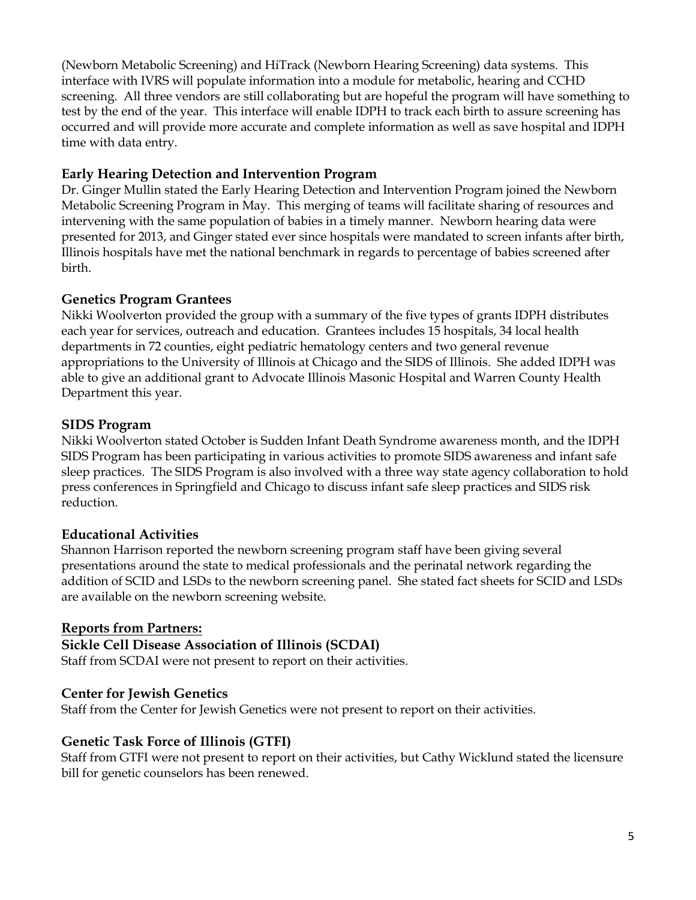(Newborn Metabolic Screening) and HiTrack (Newborn Hearing Screening) data systems. This interface with IVRS will populate information into a module for metabolic, hearing and CCHD screening. All three vendors are still collaborating but are hopeful the program will have something to test by the end of the year. This interface will enable IDPH to track each birth to assure screening has occurred and will provide more accurate and complete information as well as save hospital and IDPH time with data entry.

### **Early Hearing Detection and Intervention Program**

Dr. Ginger Mullin stated the Early Hearing Detection and Intervention Program joined the Newborn Metabolic Screening Program in May. This merging of teams will facilitate sharing of resources and intervening with the same population of babies in a timely manner. Newborn hearing data were presented for 2013, and Ginger stated ever since hospitals were mandated to screen infants after birth, Illinois hospitals have met the national benchmark in regards to percentage of babies screened after birth.

# **Genetics Program Grantees**

Nikki Woolverton provided the group with a summary of the five types of grants IDPH distributes each year for services, outreach and education. Grantees includes 15 hospitals, 34 local health departments in 72 counties, eight pediatric hematology centers and two general revenue appropriations to the University of Illinois at Chicago and the SIDS of Illinois. She added IDPH was able to give an additional grant to Advocate Illinois Masonic Hospital and Warren County Health Department this year.

# **SIDS Program**

Nikki Woolverton stated October is Sudden Infant Death Syndrome awareness month, and the IDPH SIDS Program has been participating in various activities to promote SIDS awareness and infant safe sleep practices. The SIDS Program is also involved with a three way state agency collaboration to hold press conferences in Springfield and Chicago to discuss infant safe sleep practices and SIDS risk reduction.

# **Educational Activities**

Shannon Harrison reported the newborn screening program staff have been giving several presentations around the state to medical professionals and the perinatal network regarding the addition of SCID and LSDs to the newborn screening panel. She stated fact sheets for SCID and LSDs are available on the newborn screening website.

# **Reports from Partners:**

# **Sickle Cell Disease Association of Illinois (SCDAI)**

Staff from SCDAI were not present to report on their activities.

# **Center for Jewish Genetics**

Staff from the Center for Jewish Genetics were not present to report on their activities.

# **Genetic Task Force of Illinois (GTFI)**

Staff from GTFI were not present to report on their activities, but Cathy Wicklund stated the licensure bill for genetic counselors has been renewed.